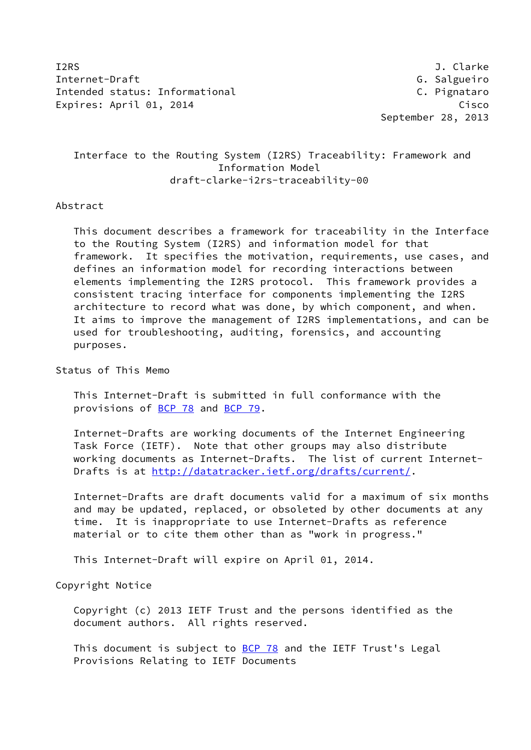I2RS J. Clarke Internet-Draft G. Salgueiro Intended status: Informational example and the c. Pignataro Expires: April 01, 2014 Cisco

September 28, 2013

# Interface to the Routing System (I2RS) Traceability: Framework and Information Model draft-clarke-i2rs-traceability-00

#### Abstract

 This document describes a framework for traceability in the Interface to the Routing System (I2RS) and information model for that framework. It specifies the motivation, requirements, use cases, and defines an information model for recording interactions between elements implementing the I2RS protocol. This framework provides a consistent tracing interface for components implementing the I2RS architecture to record what was done, by which component, and when. It aims to improve the management of I2RS implementations, and can be used for troubleshooting, auditing, forensics, and accounting purposes.

### Status of This Memo

 This Internet-Draft is submitted in full conformance with the provisions of [BCP 78](https://datatracker.ietf.org/doc/pdf/bcp78) and [BCP 79](https://datatracker.ietf.org/doc/pdf/bcp79).

 Internet-Drafts are working documents of the Internet Engineering Task Force (IETF). Note that other groups may also distribute working documents as Internet-Drafts. The list of current Internet Drafts is at<http://datatracker.ietf.org/drafts/current/>.

 Internet-Drafts are draft documents valid for a maximum of six months and may be updated, replaced, or obsoleted by other documents at any time. It is inappropriate to use Internet-Drafts as reference material or to cite them other than as "work in progress."

This Internet-Draft will expire on April 01, 2014.

Copyright Notice

 Copyright (c) 2013 IETF Trust and the persons identified as the document authors. All rights reserved.

This document is subject to **[BCP 78](https://datatracker.ietf.org/doc/pdf/bcp78)** and the IETF Trust's Legal Provisions Relating to IETF Documents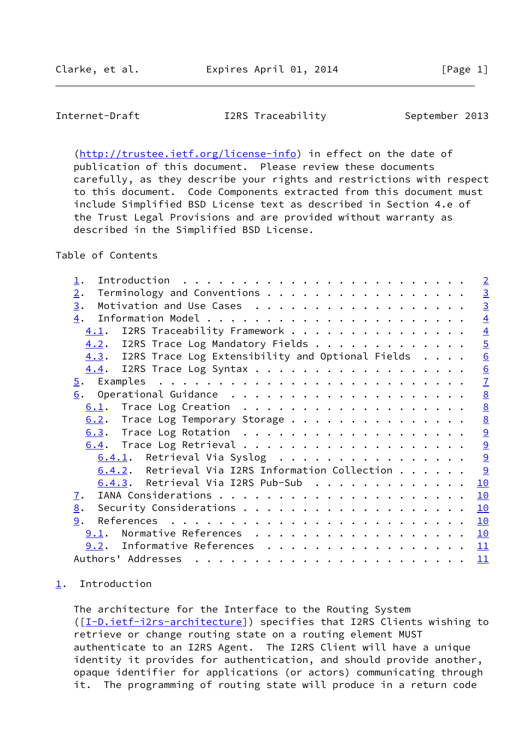<span id="page-1-1"></span>Internet-Draft T2RS Traceability September 2013

 [\(http://trustee.ietf.org/license-info](http://trustee.ietf.org/license-info)) in effect on the date of publication of this document. Please review these documents carefully, as they describe your rights and restrictions with respect to this document. Code Components extracted from this document must include Simplified BSD License text as described in Section 4.e of the Trust Legal Provisions and are provided without warranty as described in the Simplified BSD License.

Table of Contents

| 1.                                                      |  | $\overline{2}$  |
|---------------------------------------------------------|--|-----------------|
| Terminology and Conventions<br>2.                       |  | $\overline{3}$  |
| 3.                                                      |  | $\overline{3}$  |
| $\overline{4}$ .                                        |  | $\overline{4}$  |
| I2RS Traceability Framework<br>4.1.                     |  | $\overline{4}$  |
| 4.2. I2RS Trace Log Mandatory Fields                    |  | $\overline{5}$  |
| $4.3.$ I2RS Trace Log Extensibility and Optional Fields |  | 6               |
| 4.4. I2RS Trace Log Syntax                              |  | $\underline{6}$ |
|                                                         |  | $\mathbf{Z}$    |
|                                                         |  | $\underline{8}$ |
|                                                         |  | $\underline{8}$ |
| 6.2. Trace Log Temporary Storage                        |  | $\underline{8}$ |
|                                                         |  | 9               |
|                                                         |  | $\overline{a}$  |
| $6.4.1$ . Retrieval Via Syslog                          |  | $\overline{a}$  |
| $6.4.2$ . Retrieval Via I2RS Information Collection     |  | 9               |
| $6.4.3$ . Retrieval Via I2RS Pub-Sub                    |  | 10              |
| 7.                                                      |  | 10              |
| 8.                                                      |  | <b>10</b>       |
| 9.                                                      |  | 10              |
| 9.1. Normative References                               |  | 10              |
| 9.2. Informative References 11                          |  |                 |
| Authors' Addresses                                      |  |                 |

# <span id="page-1-0"></span>[1](#page-1-0). Introduction

 The architecture for the Interface to the Routing System ([\[I-D.ietf-i2rs-architecture\]](#page-11-4)) specifies that I2RS Clients wishing to retrieve or change routing state on a routing element MUST authenticate to an I2RS Agent. The I2RS Client will have a unique identity it provides for authentication, and should provide another, opaque identifier for applications (or actors) communicating through it. The programming of routing state will produce in a return code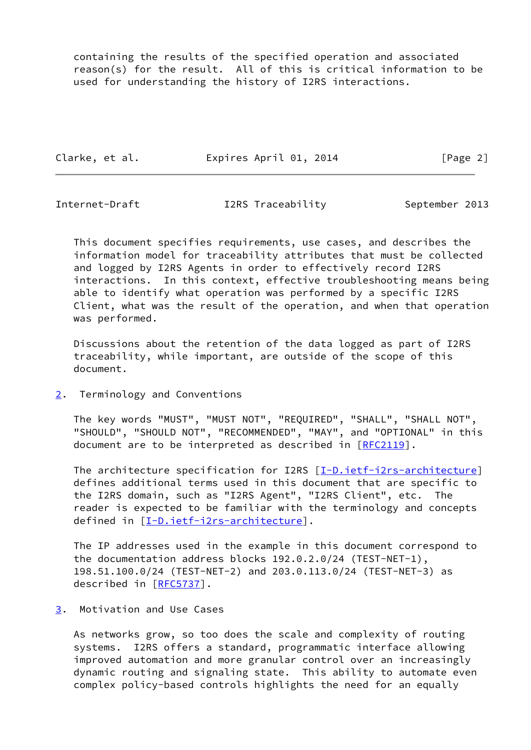containing the results of the specified operation and associated reason(s) for the result. All of this is critical information to be used for understanding the history of I2RS interactions.

Clarke, et al. **Expires April 01, 2014** [Page 2]

<span id="page-2-1"></span>

Internet-Draft T2RS Traceability September 2013

 This document specifies requirements, use cases, and describes the information model for traceability attributes that must be collected and logged by I2RS Agents in order to effectively record I2RS interactions. In this context, effective troubleshooting means being able to identify what operation was performed by a specific I2RS Client, what was the result of the operation, and when that operation was performed.

 Discussions about the retention of the data logged as part of I2RS traceability, while important, are outside of the scope of this document.

<span id="page-2-0"></span>[2](#page-2-0). Terminology and Conventions

 The key words "MUST", "MUST NOT", "REQUIRED", "SHALL", "SHALL NOT", "SHOULD", "SHOULD NOT", "RECOMMENDED", "MAY", and "OPTIONAL" in this document are to be interpreted as described in [\[RFC2119](https://datatracker.ietf.org/doc/pdf/rfc2119)].

The architecture specification for I2RS [\[I-D.ietf-i2rs-architecture\]](#page-11-4) defines additional terms used in this document that are specific to the I2RS domain, such as "I2RS Agent", "I2RS Client", etc. The reader is expected to be familiar with the terminology and concepts defined in [[I-D.ietf-i2rs-architecture\]](#page-11-4).

 The IP addresses used in the example in this document correspond to the documentation address blocks 192.0.2.0/24 (TEST-NET-1), 198.51.100.0/24 (TEST-NET-2) and 203.0.113.0/24 (TEST-NET-3) as described in [\[RFC5737](https://datatracker.ietf.org/doc/pdf/rfc5737)].

<span id="page-2-2"></span>[3](#page-2-2). Motivation and Use Cases

 As networks grow, so too does the scale and complexity of routing systems. I2RS offers a standard, programmatic interface allowing improved automation and more granular control over an increasingly dynamic routing and signaling state. This ability to automate even complex policy-based controls highlights the need for an equally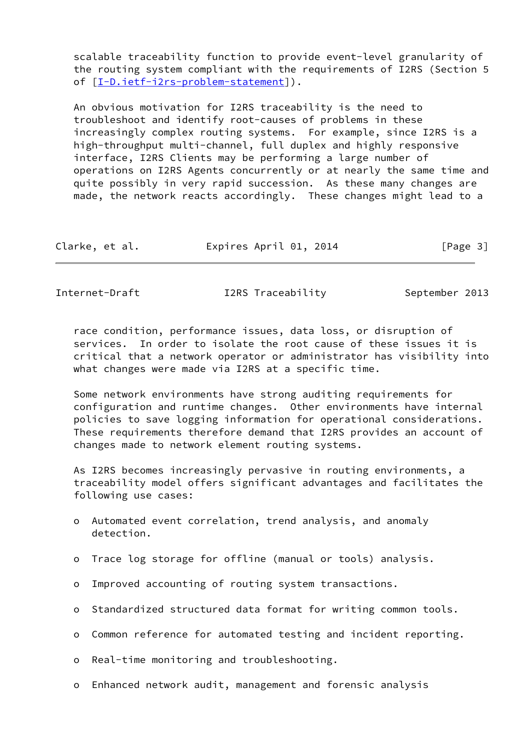scalable traceability function to provide event-level granularity of the routing system compliant with the requirements of I2RS (Section 5 of [[I-D.ietf-i2rs-problem-statement\]](#page-11-5)).

 An obvious motivation for I2RS traceability is the need to troubleshoot and identify root-causes of problems in these increasingly complex routing systems. For example, since I2RS is a high-throughput multi-channel, full duplex and highly responsive interface, I2RS Clients may be performing a large number of operations on I2RS Agents concurrently or at nearly the same time and quite possibly in very rapid succession. As these many changes are made, the network reacts accordingly. These changes might lead to a

| Clarke, et al. | Expires April 01, 2014 | [Page 3] |
|----------------|------------------------|----------|
|----------------|------------------------|----------|

<span id="page-3-0"></span>Internet-Draft I2RS Traceability September 2013

 race condition, performance issues, data loss, or disruption of services. In order to isolate the root cause of these issues it is critical that a network operator or administrator has visibility into what changes were made via I2RS at a specific time.

 Some network environments have strong auditing requirements for configuration and runtime changes. Other environments have internal policies to save logging information for operational considerations. These requirements therefore demand that I2RS provides an account of changes made to network element routing systems.

 As I2RS becomes increasingly pervasive in routing environments, a traceability model offers significant advantages and facilitates the following use cases:

- o Automated event correlation, trend analysis, and anomaly detection.
- o Trace log storage for offline (manual or tools) analysis.
- o Improved accounting of routing system transactions.
- o Standardized structured data format for writing common tools.
- o Common reference for automated testing and incident reporting.
- o Real-time monitoring and troubleshooting.
- o Enhanced network audit, management and forensic analysis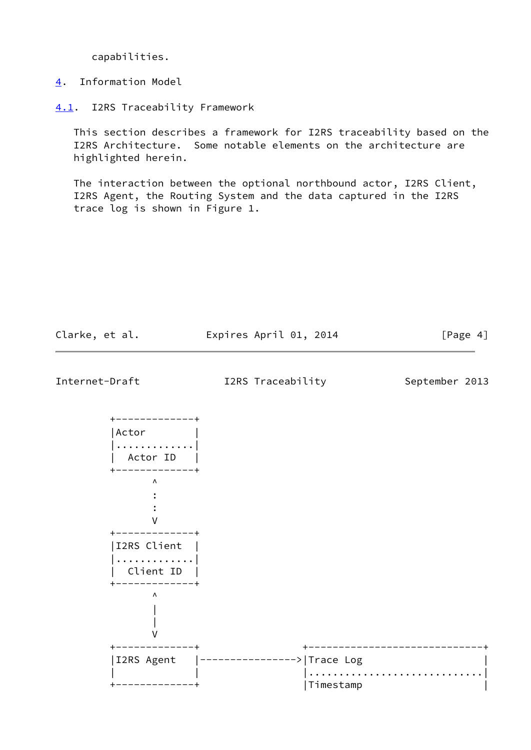capabilities.

<span id="page-4-0"></span>[4](#page-4-0). Information Model

<span id="page-4-1"></span>[4.1](#page-4-1). I2RS Traceability Framework

 This section describes a framework for I2RS traceability based on the I2RS Architecture. Some notable elements on the architecture are highlighted herein.

 The interaction between the optional northbound actor, I2RS Client, I2RS Agent, the Routing System and the data captured in the I2RS trace log is shown in Figure 1.

<span id="page-4-2"></span>

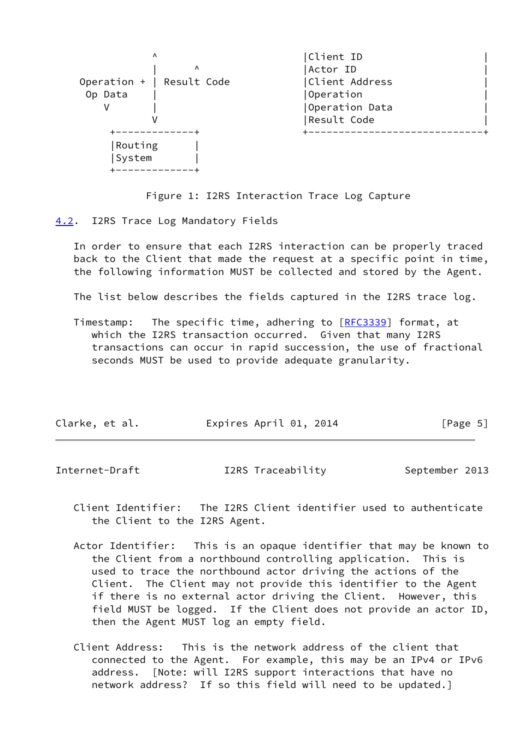| Λ<br>Λ                    | Client ID<br>Actor ID |
|---------------------------|-----------------------|
| Operation +   Result Code | Client Address        |
| Op Data                   | Operation             |
|                           | Operation Data        |
|                           | Result Code           |
| Routing<br>System         |                       |

Figure 1: I2RS Interaction Trace Log Capture

<span id="page-5-0"></span>[4.2](#page-5-0). I2RS Trace Log Mandatory Fields

 In order to ensure that each I2RS interaction can be properly traced back to the Client that made the request at a specific point in time, the following information MUST be collected and stored by the Agent.

The list below describes the fields captured in the I2RS trace log.

Timestamp: The specific time, adhering to [\[RFC3339](https://datatracker.ietf.org/doc/pdf/rfc3339)] format, at which the I2RS transaction occurred. Given that many I2RS transactions can occur in rapid succession, the use of fractional seconds MUST be used to provide adequate granularity.

| Clarke, et al. | Expires April 01, 2014 | [Page 5] |
|----------------|------------------------|----------|
|                |                        |          |

<span id="page-5-1"></span>

| Internet-Draft | I2RS Traceability | September 2013 |  |
|----------------|-------------------|----------------|--|
|                |                   |                |  |

- Client Identifier: The I2RS Client identifier used to authenticate the Client to the I2RS Agent.
- Actor Identifier: This is an opaque identifier that may be known to the Client from a northbound controlling application. This is used to trace the northbound actor driving the actions of the Client. The Client may not provide this identifier to the Agent if there is no external actor driving the Client. However, this field MUST be logged. If the Client does not provide an actor ID, then the Agent MUST log an empty field.
- Client Address: This is the network address of the client that connected to the Agent. For example, this may be an IPv4 or IPv6 address. [Note: will I2RS support interactions that have no network address? If so this field will need to be updated.]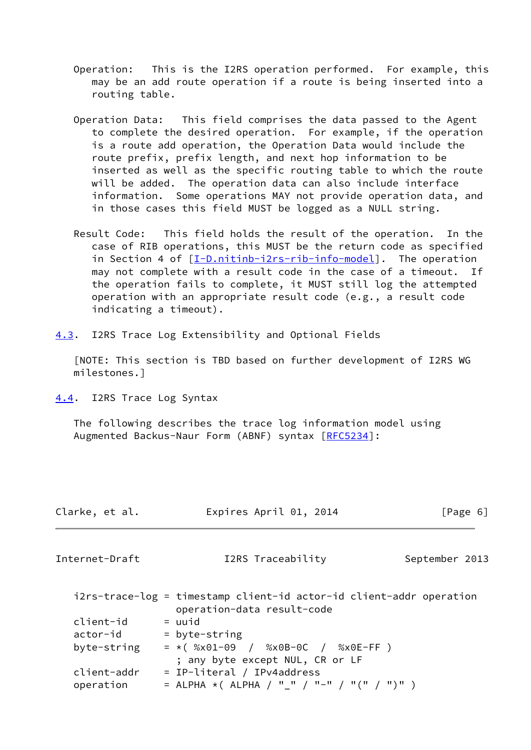- Operation: This is the I2RS operation performed. For example, this may be an add route operation if a route is being inserted into a routing table.
- Operation Data: This field comprises the data passed to the Agent to complete the desired operation. For example, if the operation is a route add operation, the Operation Data would include the route prefix, prefix length, and next hop information to be inserted as well as the specific routing table to which the route will be added. The operation data can also include interface information. Some operations MAY not provide operation data, and in those cases this field MUST be logged as a NULL string.
- Result Code: This field holds the result of the operation. In the case of RIB operations, this MUST be the return code as specified in Section 4 of [[I-D.nitinb-i2rs-rib-info-model](#page-12-0)]. The operation may not complete with a result code in the case of a timeout. If the operation fails to complete, it MUST still log the attempted operation with an appropriate result code (e.g., a result code indicating a timeout).

<span id="page-6-0"></span>[4.3](#page-6-0). I2RS Trace Log Extensibility and Optional Fields

 [NOTE: This section is TBD based on further development of I2RS WG milestones.]

<span id="page-6-1"></span>[4.4](#page-6-1). I2RS Trace Log Syntax

 The following describes the trace log information model using Augmented Backus-Naur Form (ABNF) syntax [\[RFC5234](https://datatracker.ietf.org/doc/pdf/rfc5234)]:

<span id="page-6-2"></span>

| Clarke, et al. | Expires April 01, 2014                                                                            | [Page 6]       |
|----------------|---------------------------------------------------------------------------------------------------|----------------|
| Internet-Draft | I2RS Traceability                                                                                 | September 2013 |
|                | i2rs-trace-log = timestamp client-id actor-id client-addr operation<br>operation-data result-code |                |
| client-id      | $=$ uuid                                                                                          |                |
| actor-id       | $=$ byte-string                                                                                   |                |
| byte-string    | $= *$ ( %x01-09 / %x0B-0C / %x0E-FF )                                                             |                |
|                | ; any byte except NUL, CR or LF                                                                   |                |
| client-addr    | = IP-literal / IPv4address                                                                        |                |
| operation      | = ALPHA *( ALPHA / "_" / "-" / "(" / ")" )                                                        |                |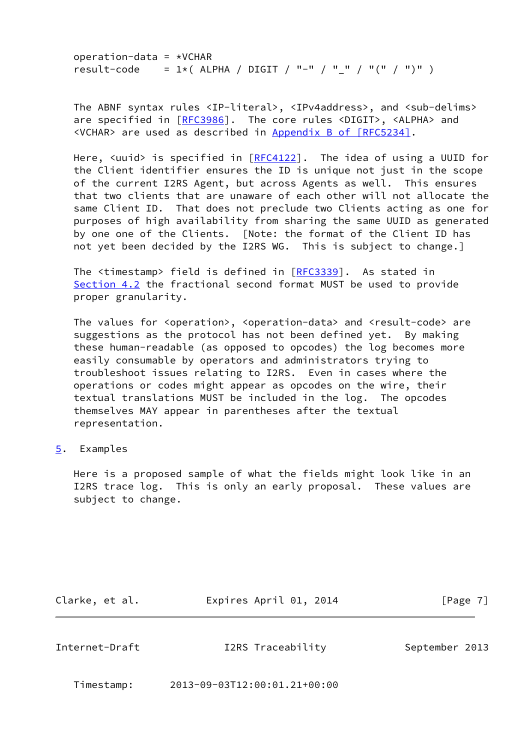operation-data =  $*VCHAR$ result-code =  $1*($  ALPHA / DIGIT / "-" / "\_" / "(" / ")" )

The ABNF syntax rules <IP-literal>, <IPv4address>, and <sub-delims> are specified in [\[RFC3986](https://datatracker.ietf.org/doc/pdf/rfc3986)]. The core rules <DIGIT>, <ALPHA> and <VCHAR> are used as described in Appendix [B of \[RFC5234\]](https://datatracker.ietf.org/doc/pdf/rfc5234#appendix-B).

Here,  $\langle$ uuid> is specified in  $[REG4122]$ . The idea of using a UUID for the Client identifier ensures the ID is unique not just in the scope of the current I2RS Agent, but across Agents as well. This ensures that two clients that are unaware of each other will not allocate the same Client ID. That does not preclude two Clients acting as one for purposes of high availability from sharing the same UUID as generated by one one of the Clients. [Note: the format of the Client ID has not yet been decided by the I2RS WG. This is subject to change.]

 The <timestamp> field is defined in [\[RFC3339](https://datatracker.ietf.org/doc/pdf/rfc3339)]. As stated in [Section 4.2](#page-5-0) the fractional second format MUST be used to provide proper granularity.

The values for <operation>, <operation-data> and <result-code> are suggestions as the protocol has not been defined yet. By making these human-readable (as opposed to opcodes) the log becomes more easily consumable by operators and administrators trying to troubleshoot issues relating to I2RS. Even in cases where the operations or codes might appear as opcodes on the wire, their textual translations MUST be included in the log. The opcodes themselves MAY appear in parentheses after the textual representation.

<span id="page-7-0"></span>[5](#page-7-0). Examples

 Here is a proposed sample of what the fields might look like in an I2RS trace log. This is only an early proposal. These values are subject to change.

Clarke, et al. Expires April 01, 2014 [Page 7]

<span id="page-7-1"></span>Internet-Draft T2RS Traceability September 2013

Timestamp: 2013-09-03T12:00:01.21+00:00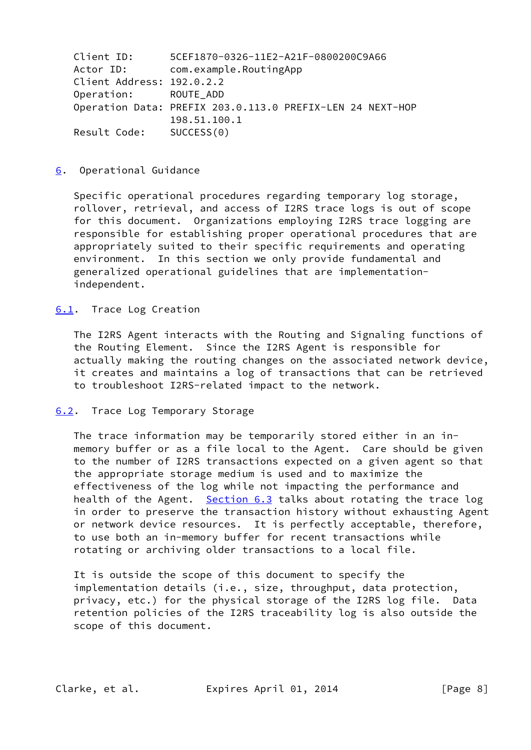| Client ID:                | 5CEF1870-0326-11E2-A21F-0800200C9A66                      |
|---------------------------|-----------------------------------------------------------|
| Actor ID:                 | com.example.RoutingApp                                    |
| Client Address: 192.0.2.2 |                                                           |
| Operation: ROUTE ADD      |                                                           |
|                           | Operation Data: PREFIX 203.0.113.0 PREFIX-LEN 24 NEXT-HOP |
|                           | 198.51.100.1                                              |
| Result Code: SUCCESS(0)   |                                                           |

#### <span id="page-8-0"></span>[6](#page-8-0). Operational Guidance

 Specific operational procedures regarding temporary log storage, rollover, retrieval, and access of I2RS trace logs is out of scope for this document. Organizations employing I2RS trace logging are responsible for establishing proper operational procedures that are appropriately suited to their specific requirements and operating environment. In this section we only provide fundamental and generalized operational guidelines that are implementation independent.

#### <span id="page-8-1"></span>[6.1](#page-8-1). Trace Log Creation

 The I2RS Agent interacts with the Routing and Signaling functions of the Routing Element. Since the I2RS Agent is responsible for actually making the routing changes on the associated network device, it creates and maintains a log of transactions that can be retrieved to troubleshoot I2RS-related impact to the network.

#### <span id="page-8-2"></span>[6.2](#page-8-2). Trace Log Temporary Storage

 The trace information may be temporarily stored either in an in memory buffer or as a file local to the Agent. Care should be given to the number of I2RS transactions expected on a given agent so that the appropriate storage medium is used and to maximize the effectiveness of the log while not impacting the performance and health of the Agent. [Section 6.3](#page-9-0) talks about rotating the trace log in order to preserve the transaction history without exhausting Agent or network device resources. It is perfectly acceptable, therefore, to use both an in-memory buffer for recent transactions while rotating or archiving older transactions to a local file.

 It is outside the scope of this document to specify the implementation details (i.e., size, throughput, data protection, privacy, etc.) for the physical storage of the I2RS log file. Data retention policies of the I2RS traceability log is also outside the scope of this document.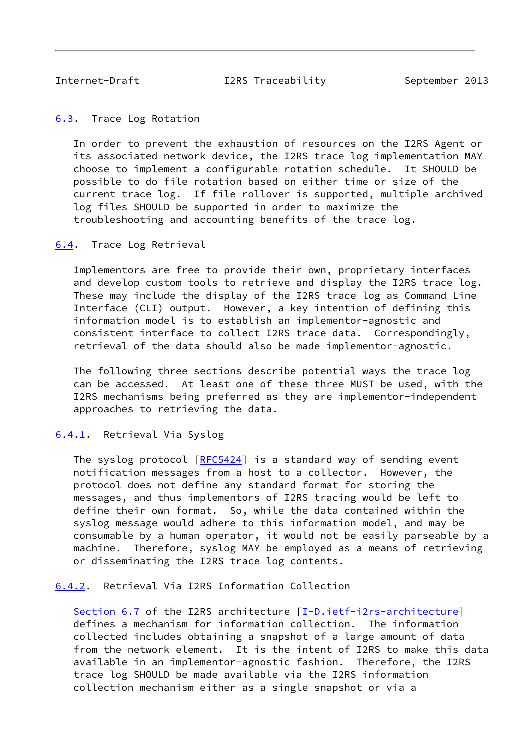<span id="page-9-1"></span>

Internet-Draft T2RS Traceability September 2013

<span id="page-9-0"></span>[6.3](#page-9-0). Trace Log Rotation

 In order to prevent the exhaustion of resources on the I2RS Agent or its associated network device, the I2RS trace log implementation MAY choose to implement a configurable rotation schedule. It SHOULD be possible to do file rotation based on either time or size of the current trace log. If file rollover is supported, multiple archived log files SHOULD be supported in order to maximize the troubleshooting and accounting benefits of the trace log.

<span id="page-9-2"></span>[6.4](#page-9-2). Trace Log Retrieval

 Implementors are free to provide their own, proprietary interfaces and develop custom tools to retrieve and display the I2RS trace log. These may include the display of the I2RS trace log as Command Line Interface (CLI) output. However, a key intention of defining this information model is to establish an implementor-agnostic and consistent interface to collect I2RS trace data. Correspondingly, retrieval of the data should also be made implementor-agnostic.

 The following three sections describe potential ways the trace log can be accessed. At least one of these three MUST be used, with the I2RS mechanisms being preferred as they are implementor-independent approaches to retrieving the data.

#### <span id="page-9-3"></span>[6.4.1](#page-9-3). Retrieval Via Syslog

The syslog protocol [\[RFC5424](https://datatracker.ietf.org/doc/pdf/rfc5424)] is a standard way of sending event notification messages from a host to a collector. However, the protocol does not define any standard format for storing the messages, and thus implementors of I2RS tracing would be left to define their own format. So, while the data contained within the syslog message would adhere to this information model, and may be consumable by a human operator, it would not be easily parseable by a machine. Therefore, syslog MAY be employed as a means of retrieving or disseminating the I2RS trace log contents.

<span id="page-9-4"></span>[6.4.2](#page-9-4). Retrieval Via I2RS Information Collection

 Section 6.7 of the I2RS architecture [\[I-D.ietf-i2rs-architecture\]](#page-11-4) defines a mechanism for information collection. The information collected includes obtaining a snapshot of a large amount of data from the network element. It is the intent of I2RS to make this data available in an implementor-agnostic fashion. Therefore, the I2RS trace log SHOULD be made available via the I2RS information collection mechanism either as a single snapshot or via a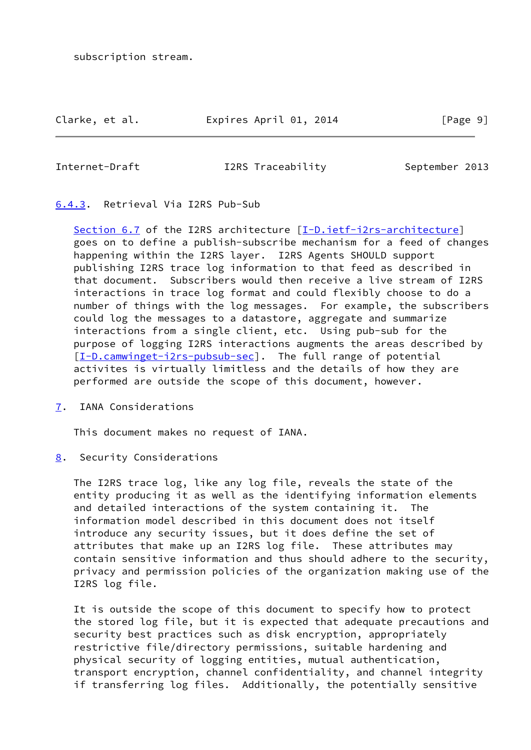subscription stream.

#### Clarke, et al. Expires April 01, 2014 [Page 9]

<span id="page-10-1"></span>

Internet-Draft T2RS Traceability September 2013

# <span id="page-10-0"></span>[6.4.3](#page-10-0). Retrieval Via I2RS Pub-Sub

 Section 6.7 of the I2RS architecture [\[I-D.ietf-i2rs-architecture\]](#page-11-4) goes on to define a publish-subscribe mechanism for a feed of changes happening within the I2RS layer. I2RS Agents SHOULD support publishing I2RS trace log information to that feed as described in that document. Subscribers would then receive a live stream of I2RS interactions in trace log format and could flexibly choose to do a number of things with the log messages. For example, the subscribers could log the messages to a datastore, aggregate and summarize interactions from a single client, etc. Using pub-sub for the purpose of logging I2RS interactions augments the areas described by [\[I-D.camwinget-i2rs-pubsub-sec](#page-11-6)]. The full range of potential activites is virtually limitless and the details of how they are performed are outside the scope of this document, however.

<span id="page-10-2"></span>[7](#page-10-2). IANA Considerations

This document makes no request of IANA.

<span id="page-10-3"></span>[8](#page-10-3). Security Considerations

 The I2RS trace log, like any log file, reveals the state of the entity producing it as well as the identifying information elements and detailed interactions of the system containing it. The information model described in this document does not itself introduce any security issues, but it does define the set of attributes that make up an I2RS log file. These attributes may contain sensitive information and thus should adhere to the security, privacy and permission policies of the organization making use of the I2RS log file.

 It is outside the scope of this document to specify how to protect the stored log file, but it is expected that adequate precautions and security best practices such as disk encryption, appropriately restrictive file/directory permissions, suitable hardening and physical security of logging entities, mutual authentication, transport encryption, channel confidentiality, and channel integrity if transferring log files. Additionally, the potentially sensitive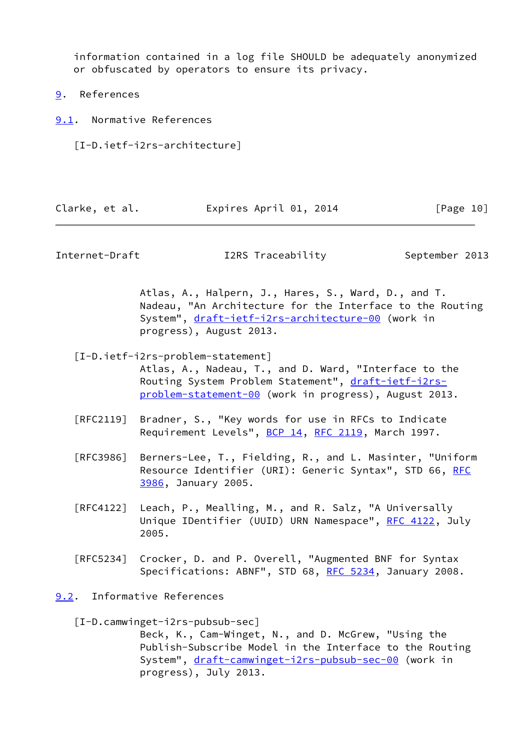information contained in a log file SHOULD be adequately anonymized or obfuscated by operators to ensure its privacy.

- <span id="page-11-0"></span>[9](#page-11-0). References
- <span id="page-11-4"></span><span id="page-11-1"></span>[9.1](#page-11-1). Normative References
	- [I-D.ietf-i2rs-architecture]

| Clarke, et al. | Expires April 01, 2014 | [Page 10] |
|----------------|------------------------|-----------|
|----------------|------------------------|-----------|

<span id="page-11-3"></span>Internet-Draft T2RS Traceability September 2013

 Atlas, A., Halpern, J., Hares, S., Ward, D., and T. Nadeau, "An Architecture for the Interface to the Routing System", [draft-ietf-i2rs-architecture-00](https://datatracker.ietf.org/doc/pdf/draft-ietf-i2rs-architecture-00) (work in progress), August 2013.

- <span id="page-11-5"></span> [I-D.ietf-i2rs-problem-statement] Atlas, A., Nadeau, T., and D. Ward, "Interface to the Routing System Problem Statement", [draft-ietf-i2rs](https://datatracker.ietf.org/doc/pdf/draft-ietf-i2rs-problem-statement-00) [problem-statement-00](https://datatracker.ietf.org/doc/pdf/draft-ietf-i2rs-problem-statement-00) (work in progress), August 2013.
- [RFC2119] Bradner, S., "Key words for use in RFCs to Indicate Requirement Levels", [BCP 14](https://datatracker.ietf.org/doc/pdf/bcp14), [RFC 2119](https://datatracker.ietf.org/doc/pdf/rfc2119), March 1997.
- [RFC3986] Berners-Lee, T., Fielding, R., and L. Masinter, "Uniform Resource Identifier (URI): Generic Syntax", STD 66, [RFC](https://datatracker.ietf.org/doc/pdf/rfc3986) [3986,](https://datatracker.ietf.org/doc/pdf/rfc3986) January 2005.
- [RFC4122] Leach, P., Mealling, M., and R. Salz, "A Universally Unique IDentifier (UUID) URN Namespace", [RFC 4122,](https://datatracker.ietf.org/doc/pdf/rfc4122) July 2005.
- [RFC5234] Crocker, D. and P. Overell, "Augmented BNF for Syntax Specifications: ABNF", STD 68, [RFC 5234](https://datatracker.ietf.org/doc/pdf/rfc5234), January 2008.
- <span id="page-11-6"></span><span id="page-11-2"></span>[9.2](#page-11-2). Informative References
	- [I-D.camwinget-i2rs-pubsub-sec] Beck, K., Cam-Winget, N., and D. McGrew, "Using the Publish-Subscribe Model in the Interface to the Routing System", [draft-camwinget-i2rs-pubsub-sec-00](https://datatracker.ietf.org/doc/pdf/draft-camwinget-i2rs-pubsub-sec-00) (work in progress), July 2013.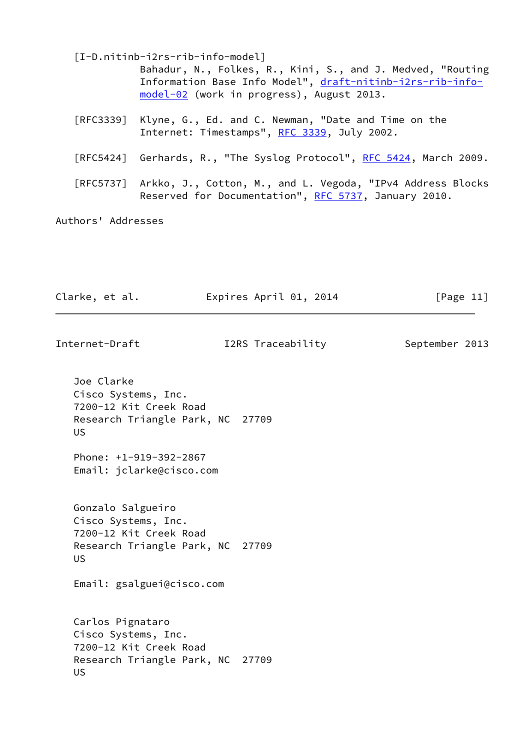<span id="page-12-0"></span>

|                    | [I-D.nitinb-i2rs-rib-info-model]                                     |
|--------------------|----------------------------------------------------------------------|
|                    | Bahadur, N., Folkes, R., Kini, S., and J. Medved, "Routing           |
|                    | Information Base Info Model", draft-nitinb-i2rs-rib-info-            |
|                    | model-02 (work in progress), August 2013.                            |
|                    | [RFC3339] Klyne, G., Ed. and C. Newman, "Date and Time on the        |
|                    | Internet: Timestamps", RFC 3339, July 2002.                          |
|                    |                                                                      |
|                    | [RFC5424] Gerhards, R., "The Syslog Protocol", RFC 5424, March 2009. |
|                    |                                                                      |
|                    | [RFC5737] Arkko, J., Cotton, M., and L. Vegoda, "IPv4 Address Blocks |
|                    | Reserved for Documentation", RFC 5737, January 2010.                 |
|                    |                                                                      |
| Authors' Addresses |                                                                      |
|                    |                                                                      |
|                    |                                                                      |

| Clarke, et al. | Expires April 01, 2014 | [Page 11] |
|----------------|------------------------|-----------|
|----------------|------------------------|-----------|

| Internet-Draft                                                                                                      | I2RS Traceability | September 2013 |
|---------------------------------------------------------------------------------------------------------------------|-------------------|----------------|
| Joe Clarke<br>Cisco Systems, Inc.<br>7200-12 Kit Creek Road<br>Research Triangle Park, NC 27709<br><b>US</b>        |                   |                |
| Phone: +1-919-392-2867<br>Email: jclarke@cisco.com                                                                  |                   |                |
| Gonzalo Salgueiro<br>Cisco Systems, Inc.<br>7200-12 Kit Creek Road<br>Research Triangle Park, NC 27709<br><b>US</b> |                   |                |
| Email: gsalguei@cisco.com                                                                                           |                   |                |
| Carlos Pignataro<br>Cisco Systems, Inc.<br>7200-12 Kit Creek Road<br>Research Triangle Park, NC 27709<br><b>US</b>  |                   |                |